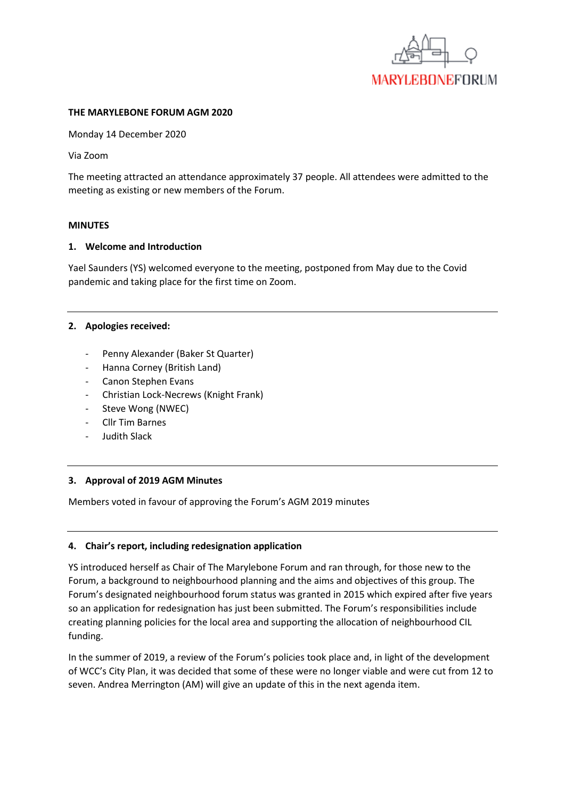

#### **THE MARYLEBONE FORUM AGM 2020**

Monday 14 December 2020

Via Zoom

The meeting attracted an attendance approximately 37 people. All attendees were admitted to the meeting as existing or new members of the Forum.

#### **MINUTES**

#### **1. Welcome and Introduction**

Yael Saunders (YS) welcomed everyone to the meeting, postponed from May due to the Covid pandemic and taking place for the first time on Zoom.

#### **2. Apologies received:**

- Penny Alexander (Baker St Quarter)
- Hanna Corney (British Land)
- Canon Stephen Evans
- Christian Lock-Necrews (Knight Frank)
- Steve Wong (NWEC)
- Cllr Tim Barnes
- Judith Slack

### **3. Approval of 2019 AGM Minutes**

Members voted in favour of approving the Forum's AGM 2019 minutes

### **4. Chair's report, including redesignation application**

YS introduced herself as Chair of The Marylebone Forum and ran through, for those new to the Forum, a background to neighbourhood planning and the aims and objectives of this group. The Forum's designated neighbourhood forum status was granted in 2015 which expired after five years so an application for redesignation has just been submitted. The Forum's responsibilities include creating planning policies for the local area and supporting the allocation of neighbourhood CIL funding.

In the summer of 2019, a review of the Forum's policies took place and, in light of the development of WCC's City Plan, it was decided that some of these were no longer viable and were cut from 12 to seven. Andrea Merrington (AM) will give an update of this in the next agenda item.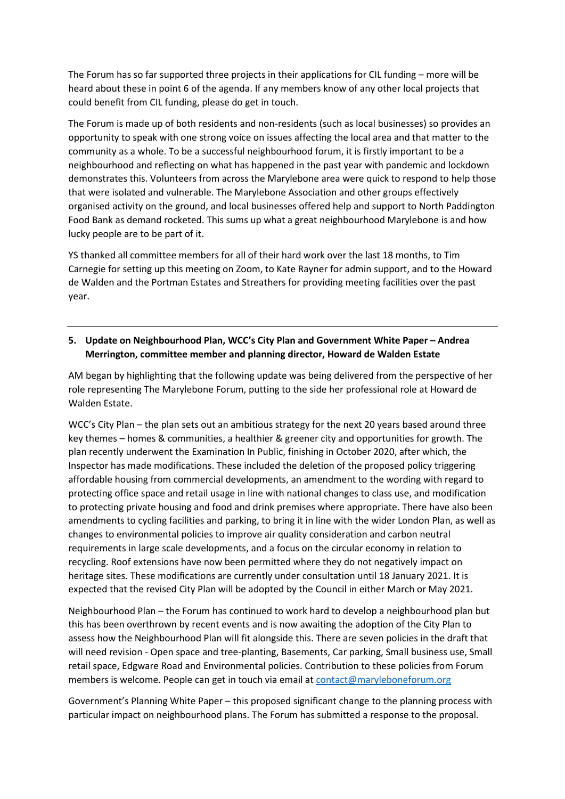The Forum has so far supported three projects in their applications for CIL funding – more will be heard about these in point 6 of the agenda. If any members know of any other local projects that could benefit from CIL funding, please do get in touch.

The Forum is made up of both residents and non-residents (such as local businesses) so provides an opportunity to speak with one strong voice on issues affecting the local area and that matter to the community as a whole. To be a successful neighbourhood forum, it is firstly important to be a neighbourhood and reflecting on what has happened in the past year with pandemic and lockdown demonstrates this. Volunteers from across the Marylebone area were quick to respond to help those that were isolated and vulnerable. The Marylebone Association and other groups effectively organised activity on the ground, and local businesses offered help and support to North Paddington Food Bank as demand rocketed. This sums up what a great neighbourhood Marylebone is and how lucky people are to be part of it.

YS thanked all committee members for all of their hard work over the last 18 months, to Tim Carnegie for setting up this meeting on Zoom, to Kate Rayner for admin support, and to the Howard de Walden and the Portman Estates and Streathers for providing meeting facilities over the past year.

# **5. Update on Neighbourhood Plan, WCC's City Plan and Government White Paper – Andrea Merrington, committee member and planning director, Howard de Walden Estate**

AM began by highlighting that the following update was being delivered from the perspective of her role representing The Marylebone Forum, putting to the side her professional role at Howard de Walden Estate.

WCC's City Plan – the plan sets out an ambitious strategy for the next 20 years based around three key themes – homes & communities, a healthier & greener city and opportunities for growth. The plan recently underwent the Examination In Public, finishing in October 2020, after which, the Inspector has made modifications. These included the deletion of the proposed policy triggering affordable housing from commercial developments, an amendment to the wording with regard to protecting office space and retail usage in line with national changes to class use, and modification to protecting private housing and food and drink premises where appropriate. There have also been amendments to cycling facilities and parking, to bring it in line with the wider London Plan, as well as changes to environmental policies to improve air quality consideration and carbon neutral requirements in large scale developments, and a focus on the circular economy in relation to recycling. Roof extensions have now been permitted where they do not negatively impact on heritage sites. These modifications are currently under consultation until 18 January 2021. It is expected that the revised City Plan will be adopted by the Council in either March or May 2021.

Neighbourhood Plan – the Forum has continued to work hard to develop a neighbourhood plan but this has been overthrown by recent events and is now awaiting the adoption of the City Plan to assess how the Neighbourhood Plan will fit alongside this. There are seven policies in the draft that will need revision - Open space and tree-planting, Basements, Car parking, Small business use, Small retail space, Edgware Road and Environmental policies. Contribution to these policies from Forum members is welcome. People can get in touch via email at [contact@maryleboneforum.org](mailto:contact@maryleboneforum.org)

Government's Planning White Paper – this proposed significant change to the planning process with particular impact on neighbourhood plans. The Forum has submitted a response to the proposal.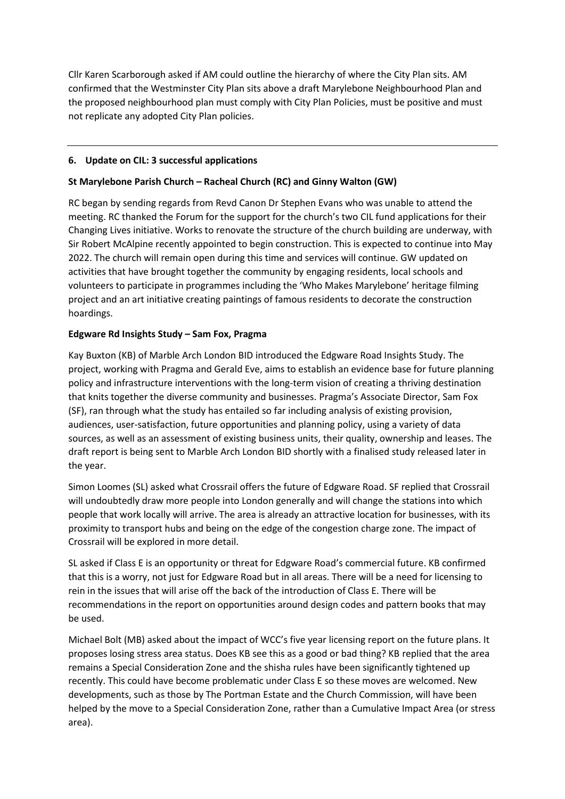Cllr Karen Scarborough asked if AM could outline the hierarchy of where the City Plan sits. AM confirmed that the Westminster City Plan sits above a draft Marylebone Neighbourhood Plan and the proposed neighbourhood plan must comply with City Plan Policies, must be positive and must not replicate any adopted City Plan policies.

# **6. Update on CIL: 3 successful applications**

# **St Marylebone Parish Church – Racheal Church (RC) and Ginny Walton (GW)**

RC began by sending regards from Revd Canon Dr Stephen Evans who was unable to attend the meeting. RC thanked the Forum for the support for the church's two CIL fund applications for their Changing Lives initiative. Works to renovate the structure of the church building are underway, with Sir Robert McAlpine recently appointed to begin construction. This is expected to continue into May 2022. The church will remain open during this time and services will continue. GW updated on activities that have brought together the community by engaging residents, local schools and volunteers to participate in programmes including the 'Who Makes Marylebone' heritage filming project and an art initiative creating paintings of famous residents to decorate the construction hoardings.

# **Edgware Rd Insights Study – Sam Fox, Pragma**

Kay Buxton (KB) of Marble Arch London BID introduced the Edgware Road Insights Study. The project, working with Pragma and Gerald Eve, aims to establish an evidence base for future planning policy and infrastructure interventions with the long-term vision of creating a thriving destination that knits together the diverse community and businesses. Pragma's Associate Director, Sam Fox (SF), ran through what the study has entailed so far including analysis of existing provision, audiences, user-satisfaction, future opportunities and planning policy, using a variety of data sources, as well as an assessment of existing business units, their quality, ownership and leases. The draft report is being sent to Marble Arch London BID shortly with a finalised study released later in the year.

Simon Loomes (SL) asked what Crossrail offers the future of Edgware Road. SF replied that Crossrail will undoubtedly draw more people into London generally and will change the stations into which people that work locally will arrive. The area is already an attractive location for businesses, with its proximity to transport hubs and being on the edge of the congestion charge zone. The impact of Crossrail will be explored in more detail.

SL asked if Class E is an opportunity or threat for Edgware Road's commercial future. KB confirmed that this is a worry, not just for Edgware Road but in all areas. There will be a need for licensing to rein in the issues that will arise off the back of the introduction of Class E. There will be recommendations in the report on opportunities around design codes and pattern books that may be used.

Michael Bolt (MB) asked about the impact of WCC's five year licensing report on the future plans. It proposes losing stress area status. Does KB see this as a good or bad thing? KB replied that the area remains a Special Consideration Zone and the shisha rules have been significantly tightened up recently. This could have become problematic under Class E so these moves are welcomed. New developments, such as those by The Portman Estate and the Church Commission, will have been helped by the move to a Special Consideration Zone, rather than a Cumulative Impact Area (or stress area).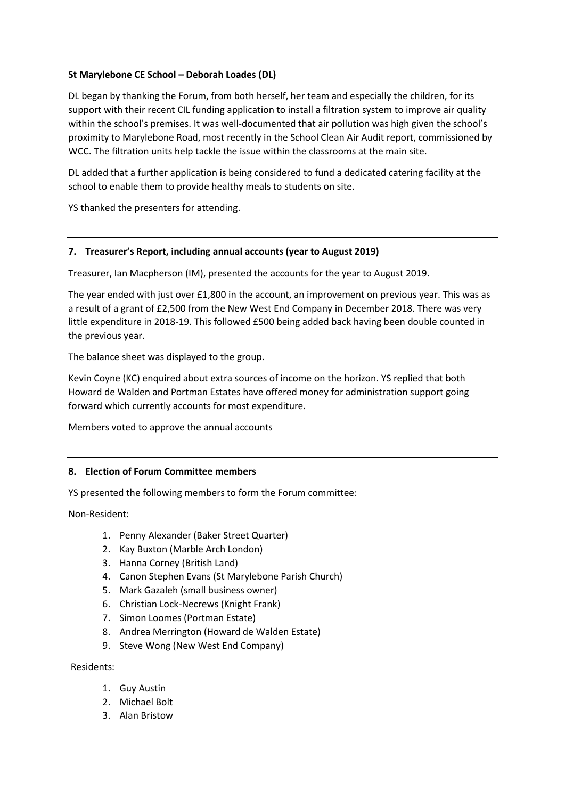# **St Marylebone CE School – Deborah Loades (DL)**

DL began by thanking the Forum, from both herself, her team and especially the children, for its support with their recent CIL funding application to install a filtration system to improve air quality within the school's premises. It was well-documented that air pollution was high given the school's proximity to Marylebone Road, most recently in the School Clean Air Audit report, commissioned by WCC. The filtration units help tackle the issue within the classrooms at the main site.

DL added that a further application is being considered to fund a dedicated catering facility at the school to enable them to provide healthy meals to students on site.

YS thanked the presenters for attending.

### **7. Treasurer's Report, including annual accounts (year to August 2019)**

Treasurer, Ian Macpherson (IM), presented the accounts for the year to August 2019.

The year ended with just over £1,800 in the account, an improvement on previous year. This was as a result of a grant of £2,500 from the New West End Company in December 2018. There was very little expenditure in 2018-19. This followed £500 being added back having been double counted in the previous year.

The balance sheet was displayed to the group.

Kevin Coyne (KC) enquired about extra sources of income on the horizon. YS replied that both Howard de Walden and Portman Estates have offered money for administration support going forward which currently accounts for most expenditure.

Members voted to approve the annual accounts

### **8. Election of Forum Committee members**

YS presented the following members to form the Forum committee:

Non-Resident:

- 1. Penny Alexander (Baker Street Quarter)
- 2. Kay Buxton (Marble Arch London)
- 3. Hanna Corney (British Land)
- 4. Canon Stephen Evans (St Marylebone Parish Church)
- 5. Mark Gazaleh (small business owner)
- 6. Christian Lock-Necrews (Knight Frank)
- 7. Simon Loomes (Portman Estate)
- 8. Andrea Merrington (Howard de Walden Estate)
- 9. Steve Wong (New West End Company)

Residents:

- 1. Guy Austin
- 2. Michael Bolt
- 3. Alan Bristow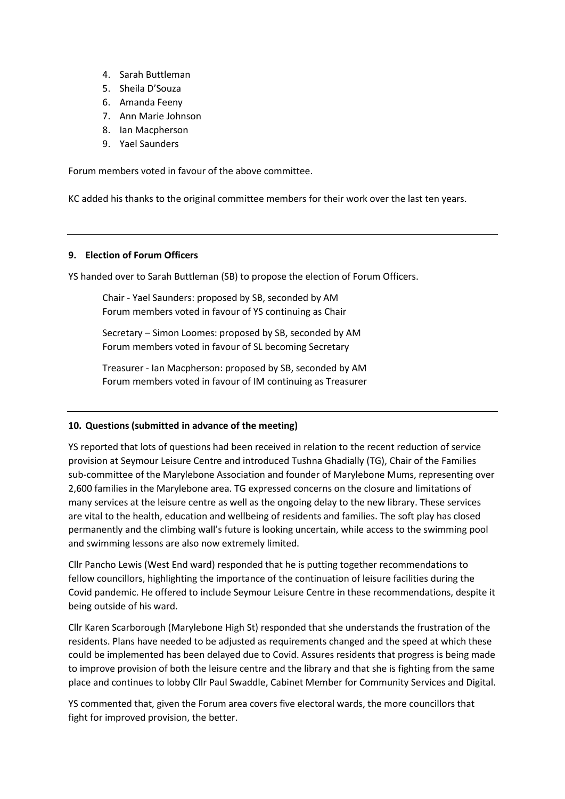- 4. Sarah Buttleman
- 5. Sheila D'Souza
- 6. Amanda Feeny
- 7. Ann Marie Johnson
- 8. Ian Macpherson
- 9. Yael Saunders

Forum members voted in favour of the above committee.

KC added his thanks to the original committee members for their work over the last ten years.

### **9. Election of Forum Officers**

YS handed over to Sarah Buttleman (SB) to propose the election of Forum Officers.

Chair - Yael Saunders: proposed by SB, seconded by AM Forum members voted in favour of YS continuing as Chair

Secretary – Simon Loomes: proposed by SB, seconded by AM Forum members voted in favour of SL becoming Secretary

Treasurer - Ian Macpherson: proposed by SB, seconded by AM Forum members voted in favour of IM continuing as Treasurer

### **10. Questions (submitted in advance of the meeting)**

YS reported that lots of questions had been received in relation to the recent reduction of service provision at Seymour Leisure Centre and introduced Tushna Ghadially (TG), Chair of the Families sub-committee of the Marylebone Association and founder of Marylebone Mums, representing over 2,600 families in the Marylebone area. TG expressed concerns on the closure and limitations of many services at the leisure centre as well as the ongoing delay to the new library. These services are vital to the health, education and wellbeing of residents and families. The soft play has closed permanently and the climbing wall's future is looking uncertain, while access to the swimming pool and swimming lessons are also now extremely limited.

Cllr Pancho Lewis (West End ward) responded that he is putting together recommendations to fellow councillors, highlighting the importance of the continuation of leisure facilities during the Covid pandemic. He offered to include Seymour Leisure Centre in these recommendations, despite it being outside of his ward.

Cllr Karen Scarborough (Marylebone High St) responded that she understands the frustration of the residents. Plans have needed to be adjusted as requirements changed and the speed at which these could be implemented has been delayed due to Covid. Assures residents that progress is being made to improve provision of both the leisure centre and the library and that she is fighting from the same place and continues to lobby Cllr Paul Swaddle, Cabinet Member for Community Services and Digital.

YS commented that, given the Forum area covers five electoral wards, the more councillors that fight for improved provision, the better.